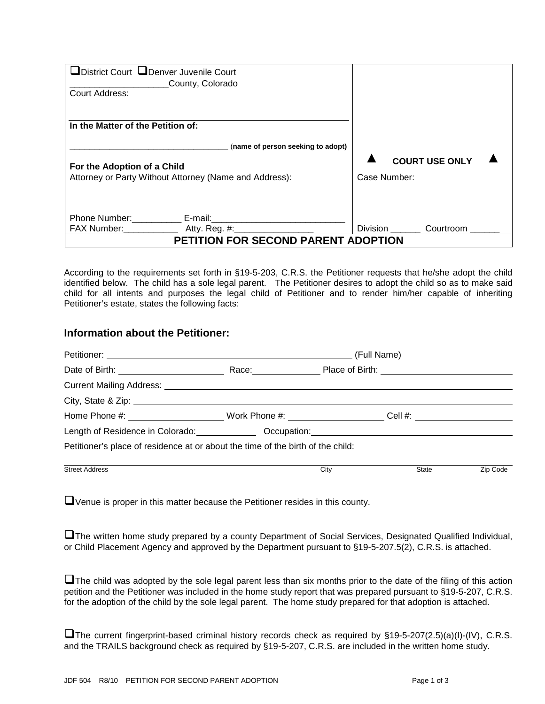| District Court LDenver Juvenile Court<br>County, Colorado<br>Court Address:                      |              |                       |  |
|--------------------------------------------------------------------------------------------------|--------------|-----------------------|--|
| In the Matter of the Petition of:                                                                |              |                       |  |
| (name of person seeking to adopt)                                                                |              |                       |  |
| For the Adoption of a Child                                                                      |              | <b>COURT USE ONLY</b> |  |
| Attorney or Party Without Attorney (Name and Address):                                           | Case Number: |                       |  |
| Phone Number: E-mail: E-mail:<br>FAX Number: ________________ Atty. Reg. #: ____________________ | Division     | Courtroom             |  |
| <b>PETITION FOR SECOND PARENT ADOPTION</b>                                                       |              |                       |  |

According to the requirements set forth in §19-5-203, C.R.S. the Petitioner requests that he/she adopt the child identified below. The child has a sole legal parent. The Petitioner desires to adopt the child so as to make said child for all intents and purposes the legal child of Petitioner and to render him/her capable of inheriting Petitioner's estate, states the following facts:

## **Information about the Petitioner:**

|                                                                                                               | (Full Name) |      |       |          |
|---------------------------------------------------------------------------------------------------------------|-------------|------|-------|----------|
|                                                                                                               |             |      |       |          |
|                                                                                                               |             |      |       |          |
|                                                                                                               |             |      |       |          |
| Home Phone #: ___________________________Work Phone #: _______________________Cell #: _______________________ |             |      |       |          |
| Length of Residence in Colorado: Cambridge Cocupation: Contract Colorado:                                     |             |      |       |          |
| Petitioner's place of residence at or about the time of the birth of the child:                               |             |      |       |          |
| <b>Street Address</b>                                                                                         |             | City | State | Zip Code |

Venue is proper in this matter because the Petitioner resides in this county.

The written home study prepared by a county Department of Social Services, Designated Qualified Individual, or Child Placement Agency and approved by the Department pursuant to §19-5-207.5(2), C.R.S. is attached.

**Let a** The child was adopted by the sole legal parent less than six months prior to the date of the filing of this action petition and the Petitioner was included in the home study report that was prepared pursuant to §19-5-207, C.R.S. for the adoption of the child by the sole legal parent. The home study prepared for that adoption is attached.

The current fingerprint-based criminal history records check as required by §19-5-207(2.5)(a)(I)-(IV), C.R.S. and the TRAILS background check as required by §19-5-207, C.R.S. are included in the written home study.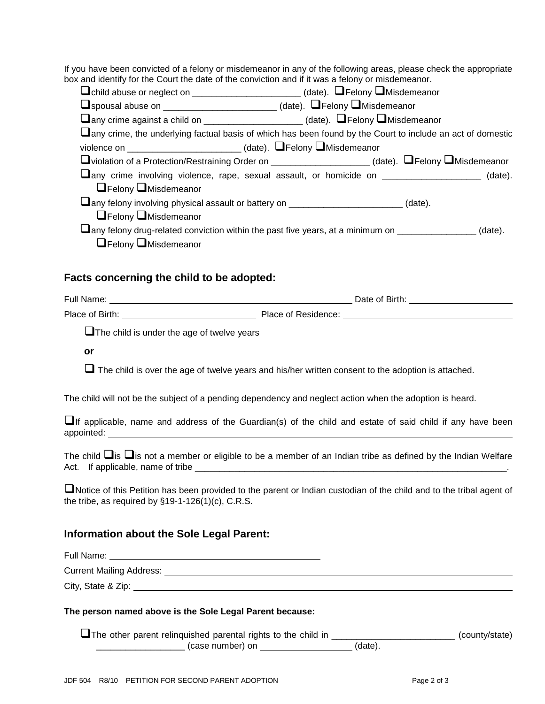If you have been convicted of a felony or misdemeanor in any of the following areas, please check the appropriate box and identify for the Court the date of the conviction and if it was a felony or misdemeanor.

| □child abuse or neglect on _______________________(date). □Felony □Misdemeanor                              |  |
|-------------------------------------------------------------------------------------------------------------|--|
| Uspousal abuse on _______________________(date). UFelony UMisdemeanor                                       |  |
| $\Box$ any crime against a child on _____________________(date). $\Box$ Felony $\Box$ Misdemeanor           |  |
| Lany crime, the underlying factual basis of which has been found by the Court to include an act of domestic |  |
| violence on ____________________________(date). LFelony DMisdemeanor                                        |  |
| □violation of a Protection/Restraining Order on _____________________(date). □Felony □Misdemeanor           |  |
| Lany crime involving violence, rape, sexual assault, or homicide on ___________________ (date).             |  |
| $\Box$ Felony $\Box$ Misdemeanor                                                                            |  |
| Lany felony involving physical assault or battery on ________________________(date).                        |  |
| $\Box$ Felony $\Box$ Misdemeanor                                                                            |  |
| Lany felony drug-related conviction within the past five years, at a minimum on ________________(date).     |  |
| $\Box$ Felony $\Box$ Misdemeanor                                                                            |  |

## **Facts concerning the child to be adopted:**

| Full Name:      | Date of Birth:      |
|-----------------|---------------------|
| Place of Birth: | Place of Residence: |

 $\Box$  The child is under the age of twelve years

**or**

 $\Box$  The child is over the age of twelve years and his/her written consent to the adoption is attached.

The child will not be the subject of a pending dependency and neglect action when the adoption is heard.

 $\Box$ If applicable, name and address of the Guardian(s) of the child and estate of said child if any have been appointed:

The child  $\Box$  is  $\Box$  is not a member or eligible to be a member of an Indian tribe as defined by the Indian Welfare Act. If applicable, name of tribe \_\_\_\_\_\_\_\_\_\_\_\_\_\_\_\_\_\_\_\_\_\_\_\_\_\_\_\_\_\_\_\_\_\_\_\_\_\_\_\_\_\_\_\_\_\_\_\_\_\_\_\_\_\_\_\_\_\_\_\_\_\_\_.

Notice of this Petition has been provided to the parent or Indian custodian of the child and to the tribal agent of the tribe, as required by §19-1-126(1)(c), C.R.S.

## **Information about the Sole Legal Parent:**

Full Name:

Current Mailing Address:

City, State & Zip: <u>2000 City</u>

#### **The person named above is the Sole Legal Parent because:**

The other parent relinquished parental rights to the child in \_\_\_\_\_\_\_\_\_\_\_\_\_\_\_\_\_\_\_\_\_\_\_\_\_\_\_ (county/state) \_\_\_\_\_\_\_\_\_\_\_\_\_\_\_\_\_\_ (case number) on (date).